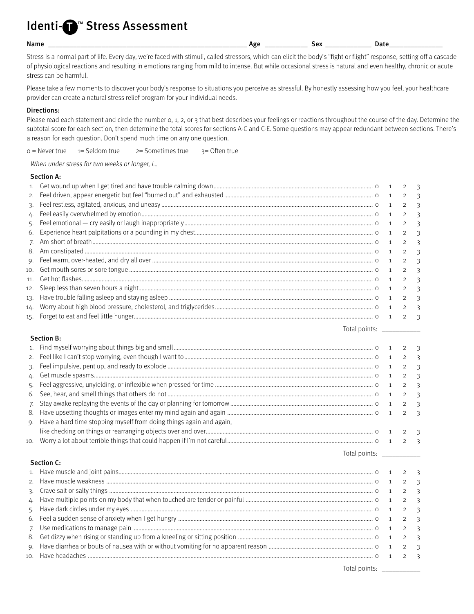# ldenti-@™ Stress Assessment

Name \_\_\_\_\_\_\_\_\_\_\_\_\_\_\_\_\_\_\_\_\_\_\_\_\_\_\_\_\_\_\_\_\_\_\_\_\_\_\_\_\_\_\_\_\_\_\_\_\_\_\_\_\_\_\_\_ Age \_\_\_\_\_\_\_\_\_\_\_\_ Sex \_\_\_\_\_\_\_\_\_\_\_\_\_ Date \_\_\_\_\_\_\_\_\_\_\_\_\_\_\_

Stress is a normal part of life. Every day, we're faced with stimuli, called stressors, which can elicit the body's "fight or flight" response, setting off a cascade of physiological reactions and resulting in emotions ranging from mild to intense. But while occasional stress is natural and even healthy, chronic or acute stress can be harmful.

Please take a few moments to discover your body's response to situations you perceive as stressful. By honestly assessing how you feel, your healthcare provider can create a natural stress relief program for your individual needs.

### Directions:

Please read each statement and circle the number 0, 1, 2, or 3 that best describes your feelings or reactions throughout the course of the day. Determine the subtotal score for each section, then determine the total scores for sections A-C and C-E. Some questions may appear redundant between sections. There's a reason for each question. Don't spend much time on any one question.

 $0 =$  Never true  $1 =$  Seldom true  $2 =$  Sometimes true  $3 =$  Often true

When under stress for two weeks or longer,  $I_{\cdots}$ 

#### Section A:

| 6. |  |  |
|----|--|--|
|    |  |  |
| 8. |  |  |
|    |  |  |
|    |  |  |
|    |  |  |
|    |  |  |
|    |  |  |
|    |  |  |
|    |  |  |
|    |  |  |

#### Section B:

|    |                                                                        |                  | 2 <sup>3</sup>   |
|----|------------------------------------------------------------------------|------------------|------------------|
|    |                                                                        |                  | $2 \overline{3}$ |
|    |                                                                        |                  | $2 \sqrt{3}$     |
|    |                                                                        | $2 \overline{3}$ |                  |
|    |                                                                        |                  | $2 \overline{3}$ |
|    |                                                                        |                  |                  |
| 8. |                                                                        |                  |                  |
|    | 9. Have a hard time stopping myself from doing things again and again, |                  |                  |
|    |                                                                        |                  |                  |
|    |                                                                        |                  |                  |

Section C:

 1. Have muscle and joint pains ...................................................................................................................................................................... 0 1 2 3 2. Have muscle weakness .............................................................................................................................................................................. 0 1 2 3 3. Crave salt or salty things ............................................................................................................................................................................ 0 1 2 3 4. Have multiple points on my body that when touched are tender or painful ................................................................................... 0 1 2 3 5. Have dark circles under my eyes .............................................................................................................................................................. 0 1 2 3 6. Feel a sudden sense of anxiety when I get hungry ............................................................................................................................... 0 1 2 3 7. Use medications to manage pain ............................................................................................................................................................ 0 1 2 3 8. Get dizzy when rising or standing up from a kneeling or sitting position ........................................................................................ 0 1 2 3 9. Have diarrhea or bouts of nausea with or without vomiting for no apparent reason .................................................................... 0 1 2 3 10. Have headaches .......................................................................................................................................................................................... 0 1 2 3

Total points: \_\_\_\_\_\_\_\_\_\_\_

Total points: \_\_\_\_\_\_\_\_\_\_\_

Total points: \_\_\_\_\_\_\_\_\_\_\_